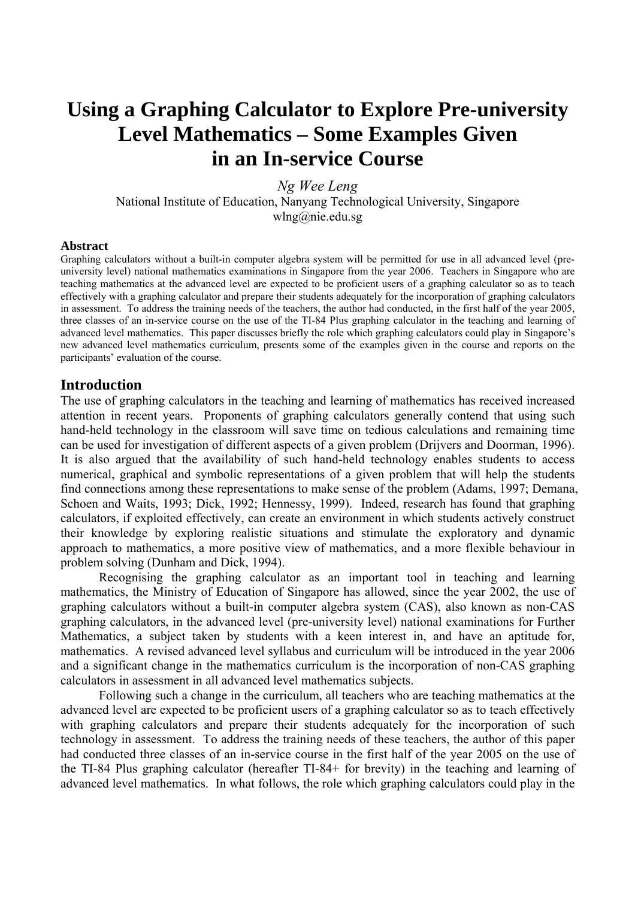# **Using a Graphing Calculator to Explore Pre-university Level Mathematics – Some Examples Given in an In-service Course**

*Ng Wee Leng*  National Institute of Education, Nanyang Technological University, Singapore wlng@nie.edu.sg

#### **Abstract**

Graphing calculators without a built-in computer algebra system will be permitted for use in all advanced level (preuniversity level) national mathematics examinations in Singapore from the year 2006. Teachers in Singapore who are teaching mathematics at the advanced level are expected to be proficient users of a graphing calculator so as to teach effectively with a graphing calculator and prepare their students adequately for the incorporation of graphing calculators in assessment. To address the training needs of the teachers, the author had conducted, in the first half of the year 2005, three classes of an in-service course on the use of the TI-84 Plus graphing calculator in the teaching and learning of advanced level mathematics. This paper discusses briefly the role which graphing calculators could play in Singapore's new advanced level mathematics curriculum, presents some of the examples given in the course and reports on the participants' evaluation of the course.

#### **Introduction**

The use of graphing calculators in the teaching and learning of mathematics has received increased attention in recent years. Proponents of graphing calculators generally contend that using such hand-held technology in the classroom will save time on tedious calculations and remaining time can be used for investigation of different aspects of a given problem (Drijvers and Doorman, 1996). It is also argued that the availability of such hand-held technology enables students to access numerical, graphical and symbolic representations of a given problem that will help the students find connections among these representations to make sense of the problem (Adams, 1997; Demana, Schoen and Waits, 1993; Dick, 1992; Hennessy, 1999). Indeed, research has found that graphing calculators, if exploited effectively, can create an environment in which students actively construct their knowledge by exploring realistic situations and stimulate the exploratory and dynamic approach to mathematics, a more positive view of mathematics, and a more flexible behaviour in problem solving (Dunham and Dick, 1994).

 Recognising the graphing calculator as an important tool in teaching and learning mathematics, the Ministry of Education of Singapore has allowed, since the year 2002, the use of graphing calculators without a built-in computer algebra system (CAS), also known as non-CAS graphing calculators, in the advanced level (pre-university level) national examinations for Further Mathematics, a subject taken by students with a keen interest in, and have an aptitude for, mathematics. A revised advanced level syllabus and curriculum will be introduced in the year 2006 and a significant change in the mathematics curriculum is the incorporation of non-CAS graphing calculators in assessment in all advanced level mathematics subjects.

 Following such a change in the curriculum, all teachers who are teaching mathematics at the advanced level are expected to be proficient users of a graphing calculator so as to teach effectively with graphing calculators and prepare their students adequately for the incorporation of such technology in assessment. To address the training needs of these teachers, the author of this paper had conducted three classes of an in-service course in the first half of the year 2005 on the use of the TI-84 Plus graphing calculator (hereafter TI-84+ for brevity) in the teaching and learning of advanced level mathematics. In what follows, the role which graphing calculators could play in the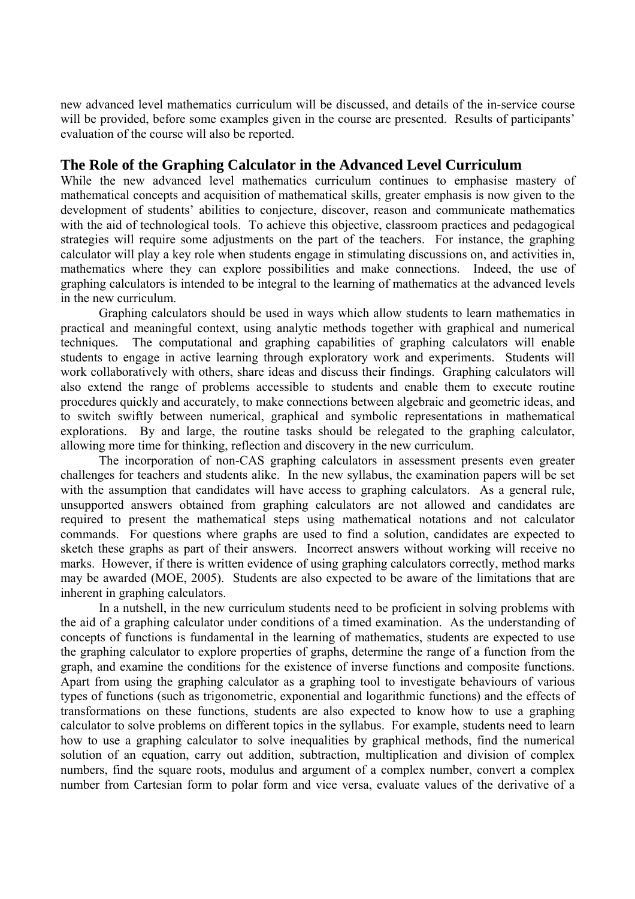new advanced level mathematics curriculum will be discussed, and details of the in-service course will be provided, before some examples given in the course are presented. Results of participants' evaluation of the course will also be reported.

# **The Role of the Graphing Calculator in the Advanced Level Curriculum**

While the new advanced level mathematics curriculum continues to emphasise mastery of mathematical concepts and acquisition of mathematical skills, greater emphasis is now given to the development of students' abilities to conjecture, discover, reason and communicate mathematics with the aid of technological tools. To achieve this objective, classroom practices and pedagogical strategies will require some adjustments on the part of the teachers. For instance, the graphing calculator will play a key role when students engage in stimulating discussions on, and activities in, mathematics where they can explore possibilities and make connections. Indeed, the use of graphing calculators is intended to be integral to the learning of mathematics at the advanced levels in the new curriculum.

Graphing calculators should be used in ways which allow students to learn mathematics in practical and meaningful context, using analytic methods together with graphical and numerical techniques. The computational and graphing capabilities of graphing calculators will enable students to engage in active learning through exploratory work and experiments. Students will work collaboratively with others, share ideas and discuss their findings. Graphing calculators will also extend the range of problems accessible to students and enable them to execute routine procedures quickly and accurately, to make connections between algebraic and geometric ideas, and to switch swiftly between numerical, graphical and symbolic representations in mathematical explorations. By and large, the routine tasks should be relegated to the graphing calculator, allowing more time for thinking, reflection and discovery in the new curriculum.

The incorporation of non-CAS graphing calculators in assessment presents even greater challenges for teachers and students alike. In the new syllabus, the examination papers will be set with the assumption that candidates will have access to graphing calculators. As a general rule, unsupported answers obtained from graphing calculators are not allowed and candidates are required to present the mathematical steps using mathematical notations and not calculator commands. For questions where graphs are used to find a solution, candidates are expected to sketch these graphs as part of their answers. Incorrect answers without working will receive no marks. However, if there is written evidence of using graphing calculators correctly, method marks may be awarded (MOE, 2005). Students are also expected to be aware of the limitations that are inherent in graphing calculators.

In a nutshell, in the new curriculum students need to be proficient in solving problems with the aid of a graphing calculator under conditions of a timed examination. As the understanding of concepts of functions is fundamental in the learning of mathematics, students are expected to use the graphing calculator to explore properties of graphs, determine the range of a function from the graph, and examine the conditions for the existence of inverse functions and composite functions. Apart from using the graphing calculator as a graphing tool to investigate behaviours of various types of functions (such as trigonometric, exponential and logarithmic functions) and the effects of transformations on these functions, students are also expected to know how to use a graphing calculator to solve problems on different topics in the syllabus. For example, students need to learn how to use a graphing calculator to solve inequalities by graphical methods, find the numerical solution of an equation, carry out addition, subtraction, multiplication and division of complex numbers, find the square roots, modulus and argument of a complex number, convert a complex number from Cartesian form to polar form and vice versa, evaluate values of the derivative of a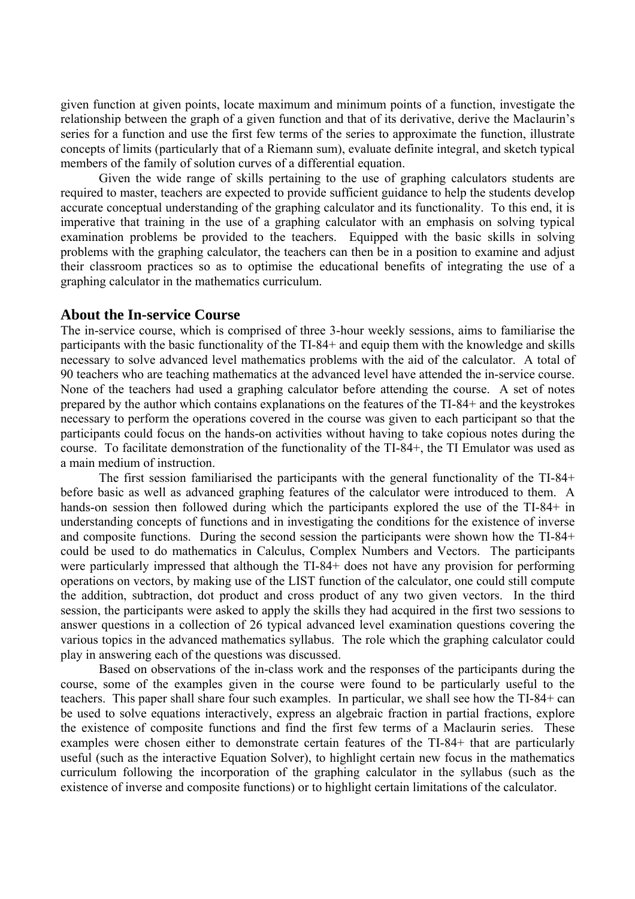given function at given points, locate maximum and minimum points of a function, investigate the relationship between the graph of a given function and that of its derivative, derive the Maclaurin's series for a function and use the first few terms of the series to approximate the function, illustrate concepts of limits (particularly that of a Riemann sum), evaluate definite integral, and sketch typical members of the family of solution curves of a differential equation.

Given the wide range of skills pertaining to the use of graphing calculators students are required to master, teachers are expected to provide sufficient guidance to help the students develop accurate conceptual understanding of the graphing calculator and its functionality. To this end, it is imperative that training in the use of a graphing calculator with an emphasis on solving typical examination problems be provided to the teachers. Equipped with the basic skills in solving problems with the graphing calculator, the teachers can then be in a position to examine and adjust their classroom practices so as to optimise the educational benefits of integrating the use of a graphing calculator in the mathematics curriculum.

#### **About the In-service Course**

The in-service course, which is comprised of three 3-hour weekly sessions, aims to familiarise the participants with the basic functionality of the TI-84+ and equip them with the knowledge and skills necessary to solve advanced level mathematics problems with the aid of the calculator. A total of 90 teachers who are teaching mathematics at the advanced level have attended the in-service course. None of the teachers had used a graphing calculator before attending the course. A set of notes prepared by the author which contains explanations on the features of the TI-84+ and the keystrokes necessary to perform the operations covered in the course was given to each participant so that the participants could focus on the hands-on activities without having to take copious notes during the course. To facilitate demonstration of the functionality of the TI-84+, the TI Emulator was used as a main medium of instruction.

The first session familiarised the participants with the general functionality of the TI-84+ before basic as well as advanced graphing features of the calculator were introduced to them. A hands-on session then followed during which the participants explored the use of the TI-84+ in understanding concepts of functions and in investigating the conditions for the existence of inverse and composite functions. During the second session the participants were shown how the TI-84+ could be used to do mathematics in Calculus, Complex Numbers and Vectors. The participants were particularly impressed that although the TI-84+ does not have any provision for performing operations on vectors, by making use of the LIST function of the calculator, one could still compute the addition, subtraction, dot product and cross product of any two given vectors. In the third session, the participants were asked to apply the skills they had acquired in the first two sessions to answer questions in a collection of 26 typical advanced level examination questions covering the various topics in the advanced mathematics syllabus. The role which the graphing calculator could play in answering each of the questions was discussed.

 Based on observations of the in-class work and the responses of the participants during the course, some of the examples given in the course were found to be particularly useful to the teachers. This paper shall share four such examples. In particular, we shall see how the TI-84+ can be used to solve equations interactively, express an algebraic fraction in partial fractions, explore the existence of composite functions and find the first few terms of a Maclaurin series. These examples were chosen either to demonstrate certain features of the TI-84+ that are particularly useful (such as the interactive Equation Solver), to highlight certain new focus in the mathematics curriculum following the incorporation of the graphing calculator in the syllabus (such as the existence of inverse and composite functions) or to highlight certain limitations of the calculator.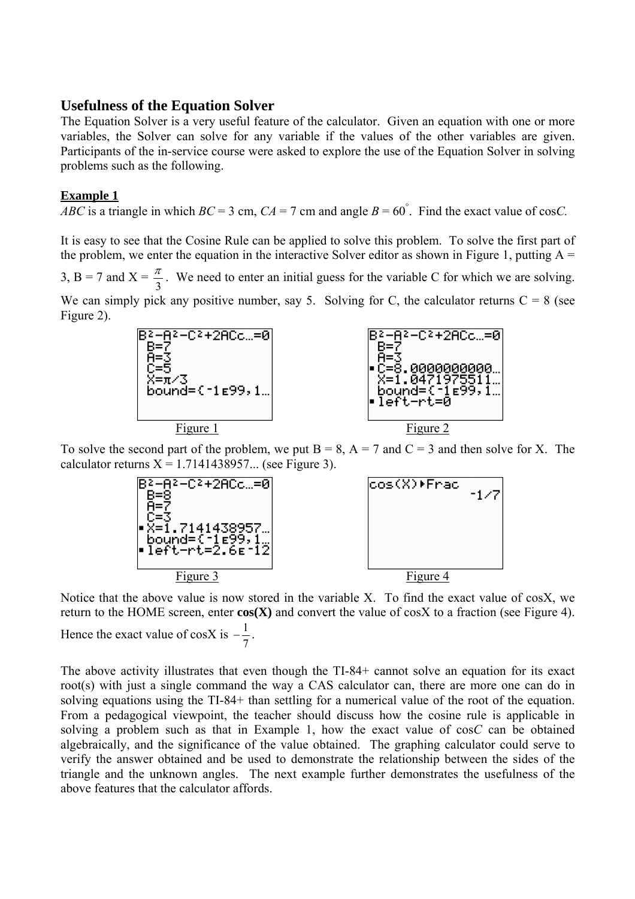## **Usefulness of the Equation Solver**

The Equation Solver is a very useful feature of the calculator. Given an equation with one or more variables, the Solver can solve for any variable if the values of the other variables are given. Participants of the in-service course were asked to explore the use of the Equation Solver in solving problems such as the following.

## **Example 1**

*ABC* is a triangle in which  $BC = 3$  cm,  $CA = 7$  cm and angle  $B = 60^\circ$ . Find the exact value of cos*C*.

It is easy to see that the Cosine Rule can be applied to solve this problem. To solve the first part of the problem, we enter the equation in the interactive Solver editor as shown in Figure 1, putting  $A =$ 

3, B = 7 and X =  $\frac{\pi}{3}$ . We need to enter an initial guess for the variable C for which we are solving.

We can simply pick any positive number, say 5. Solving for C, the calculator returns  $C = 8$  (see Figure 2).



To solve the second part of the problem, we put  $B = 8$ ,  $A = 7$  and  $C = 3$  and then solve for X. The calculator returns  $X = 1.7141438957...$  (see Figure 3).



Notice that the above value is now stored in the variable X. To find the exact value of cosX, we return to the HOME screen, enter **cos(X)** and convert the value of cosX to a fraction (see Figure 4). Hence the exact value of cosX is 7  $-\frac{1}{7}$ .

The above activity illustrates that even though the TI-84+ cannot solve an equation for its exact root(s) with just a single command the way a CAS calculator can, there are more one can do in solving equations using the TI-84+ than settling for a numerical value of the root of the equation. From a pedagogical viewpoint, the teacher should discuss how the cosine rule is applicable in solving a problem such as that in Example 1, how the exact value of cos*C* can be obtained algebraically, and the significance of the value obtained. The graphing calculator could serve to verify the answer obtained and be used to demonstrate the relationship between the sides of the triangle and the unknown angles. The next example further demonstrates the usefulness of the above features that the calculator affords.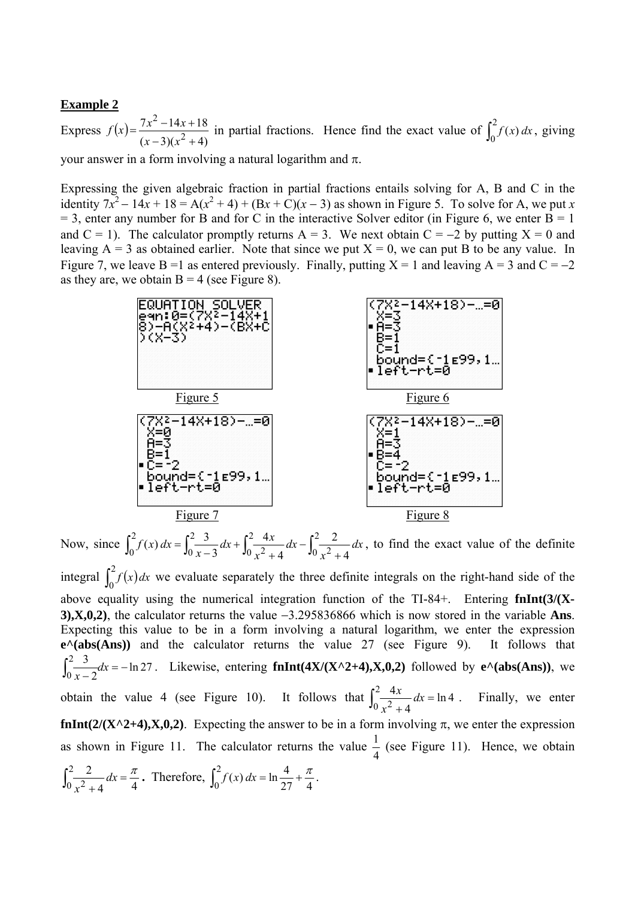### **Example 2**

 $(x)=\frac{7x^2-14x+18}{(x-3)(x^2+4)}$ 2 2 Express  $f(x) = \frac{7x^2 - 14x + 18}{(x-3)(x^2 + 4)}$  in partial fractions. Hence find the exact value of  $\int_0^2 f(x) dx$ , giving your answer in a form involving a natural logarithm and π.

Expressing the given algebraic fraction in partial fractions entails solving for A, B and C in the identity  $7x^2 - 14x + 18 = A(x^2 + 4) + (Bx + C)(x - 3)$  as shown in Figure 5. To solve for A, we put *x*  $= 3$ , enter any number for B and for C in the interactive Solver editor (in Figure 6, we enter  $\overrightarrow{B} = 1$ and  $C = 1$ ). The calculator promptly returns A = 3. We next obtain  $C = -2$  by putting  $X = 0$  and leaving  $A = 3$  as obtained earlier. Note that since we put  $X = 0$ , we can put B to be any value. In Figure 7, we leave B =1 as entered previously. Finally, putting  $X = 1$  and leaving A = 3 and C = −2 as they are, we obtain  $B = 4$  (see Figure 8).



Now, since  $\int_0^2 f(x) dx = \int_0^2 \frac{3}{x-3} dx + \int_0^2 \frac{4x}{x^2+4} dx - \int_0^2 \frac{2}{x^2+4} dx$ 2 0 2  $2^{2} + 4^{4x}$   $\int_{0}^{2}$ 2  $0^{\int (x+y)^2}$   $10x-3$   $10x^2+4$   $10x^2+4$ 2 4 4 3  $(x) dx = \int_{0}^{2} \frac{3}{2} dx + \int_{0}^{2} \frac{4x}{2} dx - \int_{0}^{2} \frac{2}{2} dx$ *x dx x*  $dx + \int_{0}^{2} \frac{4x}{2}$ *x*  $f(x) dx = \int_{0}^{2} \frac{dx}{x^2} dx + \int_{0}^{2} \frac{4x}{x^2} dx - \int_{0}^{2} \frac{2}{x^2} dx$ , to find the exact value of the definite integral  $\int_0^2 f(x) dx$  we evaluate separately the three definite integrals on the right-hand side of the above equality using the numerical integration function of the TI-84+. Entering **fnInt(3/(X-3),X,0,2)**, the calculator returns the value −3.295836866 which is now stored in the variable **Ans**. Expecting this value to be in a form involving a natural logarithm, we enter the expression **e^(abs(Ans))** and the calculator returns the value 27 (see Figure 9). It follows that ln 27 2  $\int_0^2 \frac{3}{x-2} dx = -$ . Likewise, entering  $f_nInt(4X/(X^2+4),X,0,2)$  followed by  $e^{\Lambda}(abs(Ans))$ , we obtain the value 4 (see Figure 10). It follows that  $\int_0^2 \frac{4x}{x^2 + 4} dx = \ln 4$  $\frac{4x}{x}$  dx *x* Finally, we enter **fnInt(2/(X^2+4),X,0,2)**. Expecting the answer to be in a form involving  $\pi$ , we enter the expression as shown in Figure 11. The calculator returns the value 4  $\frac{1}{1}$  (see Figure 11). Hence, we obtain  $\int_0^2 \frac{2}{x^2+4} dx =$  $0 x^2 + 4$   $4x - 4$  $\frac{2}{x^2+4}dx = \frac{\pi}{4}$ . Therefore,  $\int_0^2 f(x) dx = \ln \frac{4}{27} + \frac{\pi}{4}$  $\int_0^2 f(x) dx = \ln \frac{4}{27} + \frac{\pi}{4}.$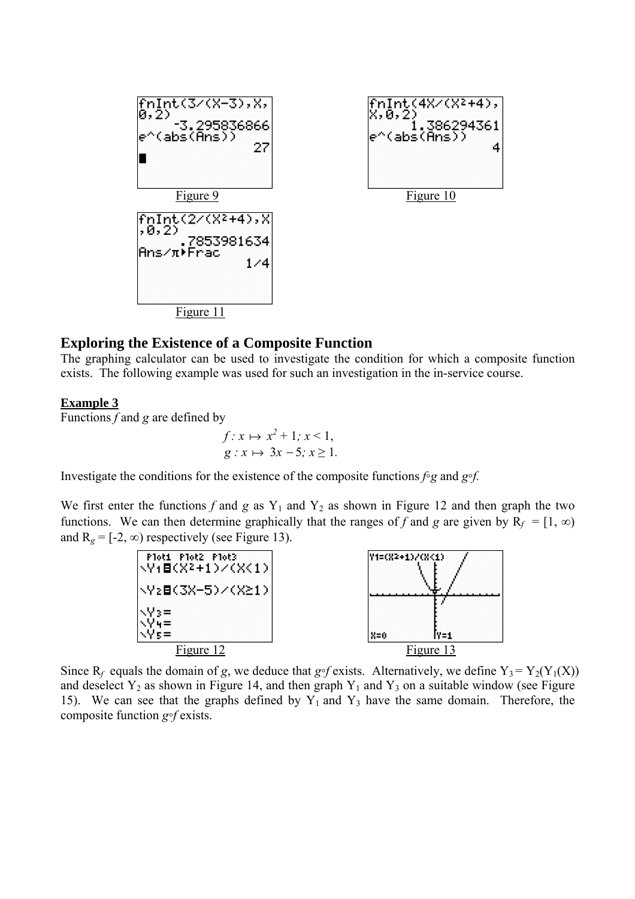

# **Exploring the Existence of a Composite Function**

The graphing calculator can be used to investigate the condition for which a composite function exists. The following example was used for such an investigation in the in-service course.

## **Example 3**

Functions *f* and *g* are defined by

$$
f: x \mapsto x^2 + 1; x < 1,
$$
  

$$
g: x \mapsto 3x - 5; x \ge 1.
$$

Investigate the conditions for the existence of the composite functions *f◦g* and *g◦f.*

We first enter the functions  $f$  and  $g$  as  $Y_1$  and  $Y_2$  as shown in Figure 12 and then graph the two functions. We can then determine graphically that the ranges of *f* and *g* are given by  $R_f = [1, \infty)$ and  $R_g = [-2, \infty)$  respectively (see Figure 13).



Since  $R_f$  equals the domain of *g*, we deduce that *g*∘*f* exists. Alternatively, we define  $Y_3 = Y_2(Y_1(X))$ and deselect  $Y_2$  as shown in Figure 14, and then graph  $Y_1$  and  $Y_3$  on a suitable window (see Figure 15). We can see that the graphs defined by  $Y_1$  and  $Y_3$  have the same domain. Therefore, the composite function *g◦f* exists.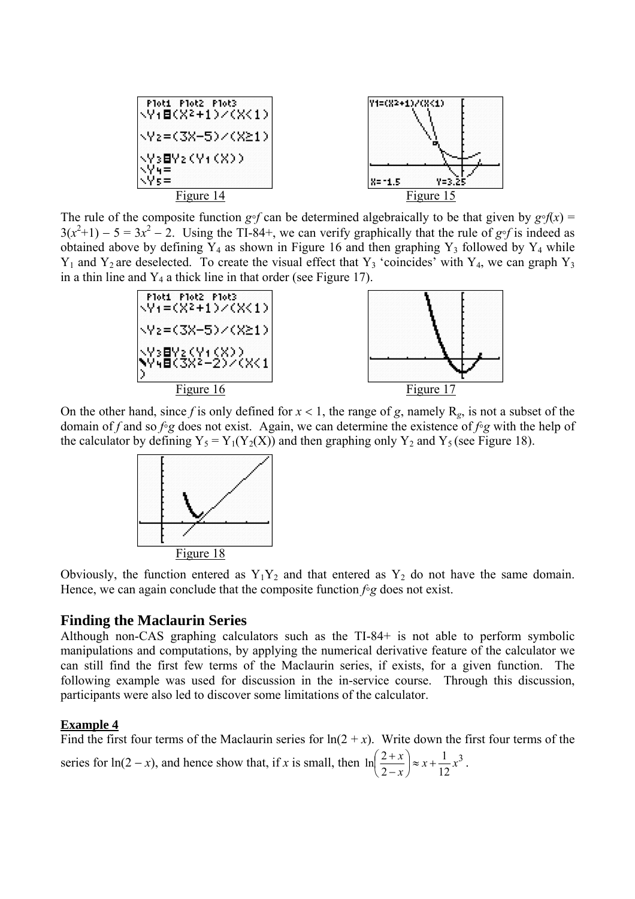

The rule of the composite function  $g \circ f$  can be determined algebraically to be that given by  $g \circ f(x) =$  $3(x^2+1) - 5 = 3x^2 - 2$ . Using the TI-84+, we can verify graphically that the rule of *g*∘*f* is indeed as obtained above by defining  $Y_4$  as shown in Figure 16 and then graphing  $Y_3$  followed by  $Y_4$  while  $Y_1$  and  $Y_2$  are deselected. To create the visual effect that  $Y_3$  'coincides' with  $Y_4$ , we can graph  $Y_3$ in a thin line and  $Y_4$  a thick line in that order (see Figure 17).



On the other hand, since f is only defined for  $x < 1$ , the range of g, namely  $R_g$ , is not a subset of the domain of *f* and so *f◦g* does not exist. Again, we can determine the existence of *f◦g* with the help of the calculator by defining  $Y_5 = Y_1(Y_2(X))$  and then graphing only  $Y_2$  and  $Y_5$  (see Figure 18).



Obviously, the function entered as  $Y_1Y_2$  and that entered as  $Y_2$  do not have the same domain. Hence, we can again conclude that the composite function *f◦g* does not exist.

## **Finding the Maclaurin Series**

Although non-CAS graphing calculators such as the TI-84+ is not able to perform symbolic manipulations and computations, by applying the numerical derivative feature of the calculator we can still find the first few terms of the Maclaurin series, if exists, for a given function. The following example was used for discussion in the in-service course. Through this discussion, participants were also led to discover some limitations of the calculator.

## **Example 4**

Find the first four terms of the Maclaurin series for  $ln(2 + x)$ . Write down the first four terms of the series for ln(2 – *x*), and hence show that, if *x* is small, then  $\ln\left(\frac{2+x}{2}\right) \approx x + \frac{1}{2}x^3$ 12 1 2  $\ln\left(\frac{2+x}{2}\right) \approx x + \frac{1}{2}x$ *x*  $\left(\frac{2+x}{2-x}\right) \approx x +$ ⎝  $\sqrt{}$ −  $+\overline{x}$   $\approx x + \frac{1}{12}x^3$ .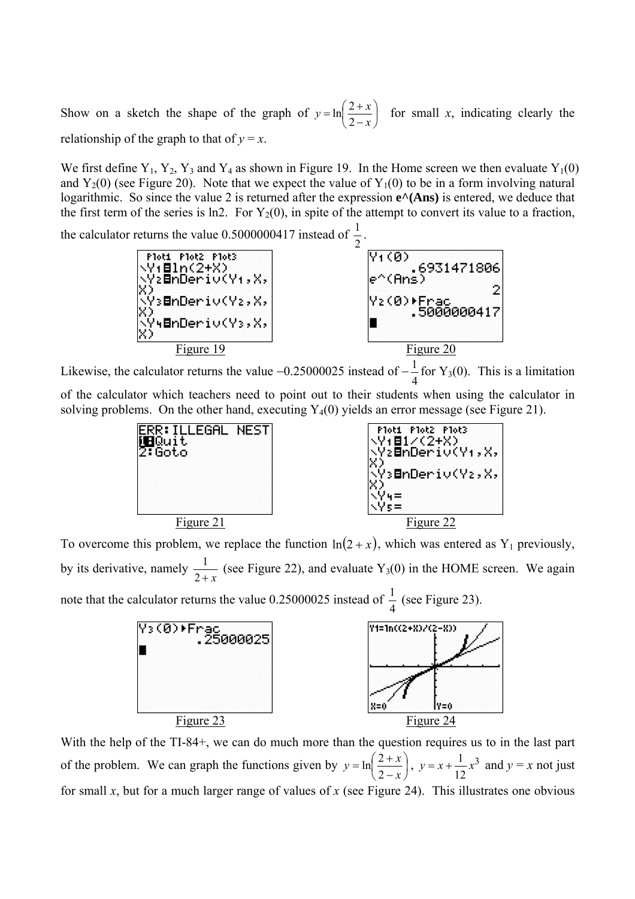Show on a sketch the shape of the graph of  $y = \ln\left(\frac{2+x}{2-x}\right)$ ⎠  $\left(\frac{2+x}{2}\right)$ ⎝  $\big($  $y = \ln\left(\frac{2+x}{2-x}\right)$  for small *x*, indicating clearly the relationship of the graph to that of  $y = x$ .

We first define  $Y_1$ ,  $Y_2$ ,  $Y_3$  and  $Y_4$  as shown in Figure 19. In the Home screen we then evaluate  $Y_1(0)$ and  $Y_2(0)$  (see Figure 20). Note that we expect the value of  $Y_1(0)$  to be in a form involving natural logarithmic. So since the value 2 is returned after the expression  $e^A(Ans)$  is entered, we deduce that the first term of the series is ln2. For  $Y_2(0)$ , in spite of the attempt to convert its value to a fraction,

the calculator returns the value 0.5000000417 instead of  $\frac{1}{2}$ .



Likewise, the calculator returns the value  $-0.25000025$  instead of  $-\frac{1}{4}$  for Y<sub>3</sub>(0). This is a limitation

of the calculator which teachers need to point out to their students when using the calculator in solving problems. On the other hand, executing  $Y_4(0)$  yields an error message (see Figure 21).



To overcome this problem, we replace the function  $ln(2 + x)$ , which was entered as Y<sub>1</sub> previously, by its derivative, namely  $\frac{1}{2+x}$  (see Figure 22), and evaluate Y<sub>3</sub>(0) in the HOME screen. We again note that the calculator returns the value 0.25000025 instead of  $\frac{1}{1}$  (see Figure 23).



With the help of the TI-84+, we can do much more than the question requires us to in the last part of the problem. We can graph the functions given by  $y = \ln \left| \frac{z + x}{z} \right|$ ⎠  $\left(\frac{2+x}{2}\right)$ ⎝  $\big($  $y = \ln\left(\frac{2+x}{2-x}\right), \ y = x + \frac{1}{12}x^3$ 12  $y = x + \frac{1}{2}x^3$  and  $y = x$  not just for small *x*, but for a much larger range of values of *x* (see Figure 24). This illustrates one obvious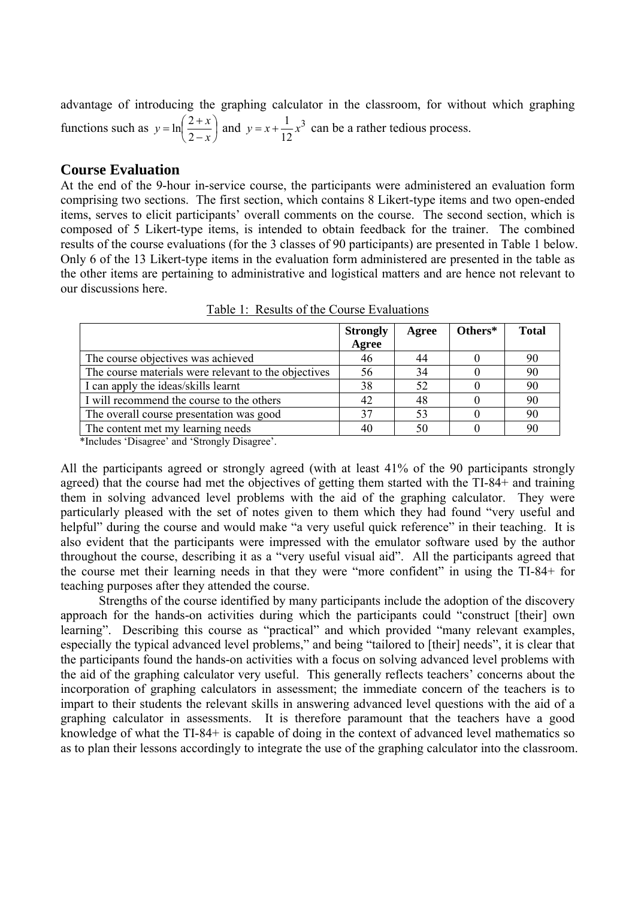advantage of introducing the graphing calculator in the classroom, for without which graphing functions such as  $y = \ln \frac{2+x}{2}$ ⎠  $\left(\frac{2+x}{2}\right)$ ⎝  $\big($  $y = \ln\left(\frac{2+x}{2-x}\right)$  and  $y = x + \frac{1}{12}x^3$ 12  $y = x + \frac{1}{x^2}x^3$  can be a rather tedious process.

## **Course Evaluation**

At the end of the 9-hour in-service course, the participants were administered an evaluation form comprising two sections. The first section, which contains 8 Likert-type items and two open-ended items, serves to elicit participants' overall comments on the course. The second section, which is composed of 5 Likert-type items, is intended to obtain feedback for the trainer. The combined results of the course evaluations (for the 3 classes of 90 participants) are presented in Table 1 below. Only 6 of the 13 Likert-type items in the evaluation form administered are presented in the table as the other items are pertaining to administrative and logistical matters and are hence not relevant to our discussions here.

|                                                      | <b>Strongly</b> | Agree | Others* | <b>Total</b> |
|------------------------------------------------------|-----------------|-------|---------|--------------|
|                                                      | Agree           |       |         |              |
| The course objectives was achieved                   | 46              |       |         | -90          |
| The course materials were relevant to the objectives | 56              | 34    |         | 90           |
| I can apply the ideas/skills learnt                  | 38              | 52    |         | 90           |
| I will recommend the course to the others            | 42              | 48    |         | 90           |
| The overall course presentation was good             |                 |       |         | 90           |
| The content met my learning needs                    | 40              |       |         | -90          |

Table 1: Results of the Course Evaluations

\*Includes 'Disagree' and 'Strongly Disagree'.

All the participants agreed or strongly agreed (with at least 41% of the 90 participants strongly agreed) that the course had met the objectives of getting them started with the TI-84+ and training them in solving advanced level problems with the aid of the graphing calculator. They were particularly pleased with the set of notes given to them which they had found "very useful and helpful" during the course and would make "a very useful quick reference" in their teaching. It is also evident that the participants were impressed with the emulator software used by the author throughout the course, describing it as a "very useful visual aid". All the participants agreed that the course met their learning needs in that they were "more confident" in using the TI-84+ for teaching purposes after they attended the course.

Strengths of the course identified by many participants include the adoption of the discovery approach for the hands-on activities during which the participants could "construct [their] own learning". Describing this course as "practical" and which provided "many relevant examples, especially the typical advanced level problems," and being "tailored to [their] needs", it is clear that the participants found the hands-on activities with a focus on solving advanced level problems with the aid of the graphing calculator very useful. This generally reflects teachers' concerns about the incorporation of graphing calculators in assessment; the immediate concern of the teachers is to impart to their students the relevant skills in answering advanced level questions with the aid of a graphing calculator in assessments. It is therefore paramount that the teachers have a good knowledge of what the TI-84+ is capable of doing in the context of advanced level mathematics so as to plan their lessons accordingly to integrate the use of the graphing calculator into the classroom.